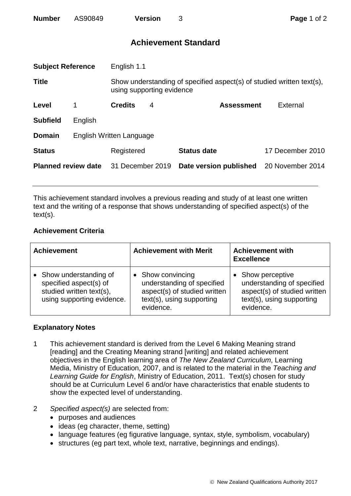| <b>Number</b> | AS90849 | <b>Version</b> |
|---------------|---------|----------------|
|---------------|---------|----------------|

## **Achievement Standard**

| <b>Subject Reference</b>   |                          | English 1.1                                                                                        |   |                        |                  |
|----------------------------|--------------------------|----------------------------------------------------------------------------------------------------|---|------------------------|------------------|
| <b>Title</b>               |                          | Show understanding of specified aspect(s) of studied written text(s),<br>using supporting evidence |   |                        |                  |
| Level                      | 1                        | <b>Credits</b>                                                                                     | 4 | <b>Assessment</b>      | External         |
| <b>Subfield</b>            | English                  |                                                                                                    |   |                        |                  |
| <b>Domain</b>              | English Written Language |                                                                                                    |   |                        |                  |
| <b>Status</b>              |                          | Registered                                                                                         |   | <b>Status date</b>     | 17 December 2010 |
| <b>Planned review date</b> |                          | 31 December 2019                                                                                   |   | Date version published | 20 November 2014 |
|                            |                          |                                                                                                    |   |                        |                  |

This achievement standard involves a previous reading and study of at least one written text and the writing of a response that shows understanding of specified aspect(s) of the text(s).

## **Achievement Criteria**

| <b>Achievement</b>                                                                                        | <b>Achievement with Merit</b>                                                                                             | <b>Achievement with</b><br><b>Excellence</b>                                                                            |  |
|-----------------------------------------------------------------------------------------------------------|---------------------------------------------------------------------------------------------------------------------------|-------------------------------------------------------------------------------------------------------------------------|--|
| Show understanding of<br>specified aspect(s) of<br>studied written text(s),<br>using supporting evidence. | • Show convincing<br>understanding of specified<br>aspect(s) of studied written<br>text(s), using supporting<br>evidence. | Show perceptive<br>understanding of specified<br>aspect(s) of studied written<br>text(s), using supporting<br>evidence. |  |

## **Explanatory Notes**

- 1 This achievement standard is derived from the Level 6 Making Meaning strand [reading] and the Creating Meaning strand [writing] and related achievement objectives in the English learning area of *The New Zealand Curriculum*, Learning Media, Ministry of Education, 2007, and is related to the material in the *Teaching and Learning Guide for English*, Ministry of Education, 2011. Text(s) chosen for study should be at Curriculum Level 6 and/or have characteristics that enable students to show the expected level of understanding.
- 2 *Specified aspect(s)* are selected from:
	- purposes and audiences
	- ideas (eg character, theme, setting)
	- language features (eg figurative language, syntax, style, symbolism, vocabulary)
	- structures (eg part text, whole text, narrative, beginnings and endings).